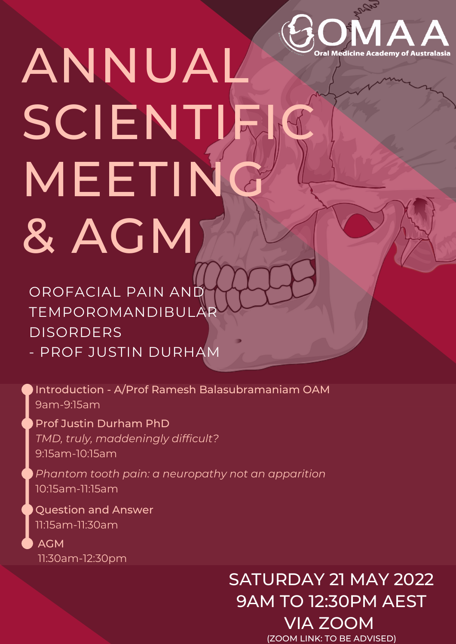

# ANNUAL SCIENTIFI MEETING & AGM

OROFACIAL PAIN AND TEMPOROMANDIBULAR DISORDERS - PROF JUSTIN DURHAM

Introduction - A/Prof Ramesh Balasubramaniam OAM 9am-9:15am

Prof Justin Durham PhD *TMD, truly, maddeningly difficult?* 9:15am-10:15am

*Phantom tooth pain: a neuropathy not an apparition* 10:15am-11:15am

Question and Answer 11:15am-11:30am

AGM 11:30am-12:30pm

## SATURDAY 21 MAY 2022 9AM TO 12:30PM AEST

VIA ZOOM (ZOOM LINK: TO BE ADVISED)